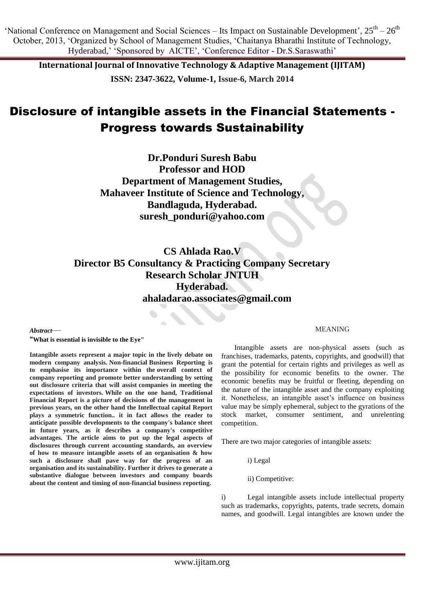'National Conference on Management and Social Sciences – Its Impact on Sustainable Development',  $25<sup>th</sup> - 26<sup>th</sup>$ October, 2013, ‗Organized by School of Management Studies, ‗Chaitanya Bharathi Institute of Technology, Hyderabad,' 'Sponsored by AICTE', 'Conference Editor - Dr.S. Saraswathi'

**International Journal of Innovative Technology & Adaptive Management (IJITAM) ISSN: 2347-3622, Volume-1, Issue-6, March 2014**

# Disclosure of intangible assets in the Financial Statements - Progress towards Sustainability

**Dr.Ponduri Suresh Babu Professor and HOD Department of Management Studies, Mahaveer Institute of Science and Technology, Bandlaguda, Hyderabad. [suresh\\_ponduri@yahoo.com](mailto:suresh_ponduri@yahoo.com)**

# **CS Ahlada Rao.V Director B5 Consultancy & Practicing Company Secretary Research Scholar JNTUH Hyderabad. [ahaladarao.associates@gmail.com](mailto:ahaladarao.associates@gmail.com)**

*Abstract*—

**"What is essential is invisible to the Eye"**

**Intangible assets represent a major topic in the lively debate on modern company analysis. Non-financial Business Reporting is to emphasise its importance within the overall context of company reporting and promote better understanding by setting out disclosure criteria that will assist companies in meeting the expectations of investors. While on the one hand, Traditional Financial Report is a picture of decisions of the management in previous years, on the other hand the Intellectual capital Report plays a symmetric function.. it in fact allows the reader to anticipate possible developments to the company's balance sheet in future years, as it describes a company's competitive advantages. The article aims to put up the legal aspects of disclosures through current accounting standards, an overview of how to measure intangible assets of an organisation & how such a disclosure shall pave way for the progress of an organisation and its sustainability. Further it drives to generate a substantive dialogue between investors and company boards about the content and timing of non-financial business reporting.**

### MEANING

Intangible assets are non-physical assets (such as franchises, trademarks, patents, copyrights, and goodwill) that grant the potential for certain rights and privileges as well as the possibility for economic benefits to the owner. The economic benefits may be fruitful or fleeting, depending on the nature of the intangible asset and the company exploiting it. Nonetheless, an intangible asset's influence on business value may be simply ephemeral, subject to the gyrations of the stock market, consumer sentiment, and unrelenting competition.

There are two major categories of intangible assets:

i) Legal

ii) Competitive:

i) Legal intangible assets include intellectual property such as trademarks, copyrights, patents, trade secrets, domain names, and goodwill. Legal intangibles are known under the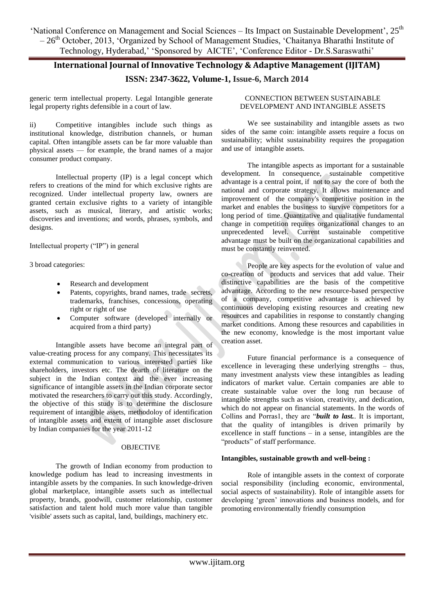'National Conference on Management and Social Sciences – Its Impact on Sustainable Development', 25<sup>th</sup> – 26th October, 2013, ‗Organized by School of Management Studies, ‗Chaitanya Bharathi Institute of Technology, Hyderabad,' 'Sponsored by AICTE', 'Conference Editor - Dr.S.Saraswathi'

### **International Journal of Innovative Technology & Adaptive Management (IJITAM) ISSN: 2347-3622, Volume-1, Issue-6, March 2014**

generic term intellectual property. Legal Intangible generate legal property rights defensible in a court of law.

ii) Competitive intangibles include such things as institutional knowledge, distribution channels, or human capital. Often intangible assets can be far more valuable than physical assets — for example, the brand names of a major consumer product company.

Intellectual property (IP) is a legal concept which refers to creations of the mind for which exclusive rights are recognized. Under intellectual property law, owners are granted certain exclusive rights to a variety of intangible assets, such as musical, literary, and artistic works; discoveries and inventions; and words, phrases, symbols, and designs.

Intellectual property ("IP") in general

3 broad categories:

- Research and development
- Patents, copyrights, brand names, trade secrets, trademarks, franchises, concessions, operating right or right of use
- Computer software (developed internally or acquired from a third party)

Intangible assets have become an integral part of value-creating process for any company. This necessitates its external communication to various interested parties like shareholders, investors etc. The dearth of literature on the subject in the Indian context and the ever increasing significance of intangible assets in the Indian corporate sector motivated the researchers to carry out this study. Accordingly, the objective of this study is to determine the disclosure requirement of intangible assets, methodoloy of identification of intangible assets and extent of intangible asset disclosure by Indian companies for the year 2011-12

### OBJECTIVE

The growth of Indian economy from production to knowledge podium has lead to increasing investments in intangible assets by the companies. In such knowledge-driven global marketplace, intangible assets such as intellectual property, brands, goodwill, customer relationship, customer satisfaction and talent hold much more value than tangible 'visible' assets such as capital, land, buildings, machinery etc.

### CONNECTION BETWEEN SUSTAINABLE DEVELOPMENT AND INTANGIBLE ASSETS

We see sustainability and intangible assets as two sides of the same coin: intangible assets require a focus on sustainability; whilst sustainability requires the propagation and use of intangible assets.

The intangible aspects as important for a sustainable development. In consequence, sustainable competitive advantage is a central point, if not to say the core of both the national and corporate strategy. It allows maintenance and improvement of the company's competitive position in the market and enables the business to survive competitors for a long period of time. Quantitative and qualitative fundamental change in competition requires organizational changes to an unprecedented level. Current sustainable competitive advantage must be built on the organizational capabilities and must be constantly reinvented.

People are key aspects for the evolution of value and co-creation of products and services that add value. Their distinctive capabilities are the basis of the competitive advantage. According to the new resource-based perspective of a company, competitive advantage is achieved by continuous developing existing resources and creating new resources and capabilities in response to constantly changing market conditions. Among these resources and capabilities in the new economy, knowledge is the most important value creation asset.

Future financial performance is a consequence of excellence in leveraging these underlying strengths – thus, many investment analysts view these intangibles as leading indicators of market value. Certain companies are able to create sustainable value over the long run because of intangible strengths such as vision, creativity, and dedication, which do not appear on financial statements. In the words of Collins and Porras1, they are "*built to last*.. It is important, that the quality of intangibles is driven primarily by excellence in staff functions – in a sense, intangibles are the "products" of staff performance.

### **Intangibles, sustainable growth and well-being :**

Role of intangible assets in the context of corporate social responsibility (including economic, environmental, social aspects of sustainability). Role of intangible assets for developing ‗green' innovations and business models, and for promoting environmentally friendly consumption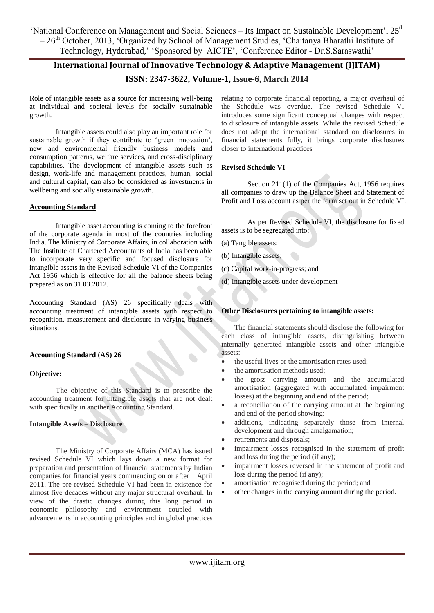'National Conference on Management and Social Sciences – Its Impact on Sustainable Development', 25<sup>th</sup> – 26th October, 2013, ‗Organized by School of Management Studies, ‗Chaitanya Bharathi Institute of Technology, Hyderabad,' 'Sponsored by AICTE', 'Conference Editor - Dr.S.Saraswathi'

# **International Journal of Innovative Technology & Adaptive Management (IJITAM) ISSN: 2347-3622, Volume-1, Issue-6, March 2014**

Role of intangible assets as a source for increasing well-being at individual and societal levels for socially sustainable growth.

Intangible assets could also play an important role for sustainable growth if they contribute to 'green innovation', new and environmental friendly business models and consumption patterns, welfare services, and cross-disciplinary capabilities. The development of intangible assets such as design, work-life and management practices, human, social and cultural capital, can also be considered as investments in wellbeing and socially sustainable growth.

### **Accounting Standard**

Intangible asset accounting is coming to the forefront of the corporate agenda in most of the countries including India. The Ministry of Corporate Affairs, in collaboration with The Institute of Chartered Accountants of India has been able to incorporate very specific and focused disclosure for intangible assets in the Revised Schedule VI of the Companies Act 1956 which is effective for all the balance sheets being prepared as on 31.03.2012.

Accounting Standard (AS) 26 specifically deals with accounting treatment of intangible assets with respect to recognition, measurement and disclosure in varying business situations.

### **Accounting Standard (AS) 26**

### **Objective:**

The objective of this Standard is to prescribe the accounting treatment for intangible assets that are not dealt with specifically in another Accounting Standard.

### **Intangible Assets – Disclosure**

The Ministry of Corporate Affairs (MCA) has issued revised Schedule VI which lays down a new format for preparation and presentation of financial statements by Indian companies for financial years commencing on or after 1 April 2011. The pre-revised Schedule VI had been in existence for almost five decades without any major structural overhaul. In view of the drastic changes during this long period in economic philosophy and environment coupled with advancements in accounting principles and in global practices relating to corporate financial reporting, a major overhaul of the Schedule was overdue. The revised Schedule VI introduces some significant conceptual changes with respect to disclosure of intangible assets. While the revised Schedule does not adopt the international standard on disclosures in financial statements fully, it brings corporate disclosures closer to international practices

### **Revised Schedule VI**

Section 211(1) of the Companies Act, 1956 requires all companies to draw up the Balance Sheet and Statement of Profit and Loss account as per the form set out in Schedule VI.

As per Revised Schedule VI, the disclosure for fixed assets is to be segregated into:

- (a) Tangible assets;
- (b) Intangible assets;
- (c) Capital work-in-progress; and
- (d) Intangible assets under development

### **Other Disclosures pertaining to intangible assets:**

The financial statements should disclose the following for each class of intangible assets, distinguishing between internally generated intangible assets and other intangible assets:

- the useful lives or the amortisation rates used;
- the amortisation methods used;
- the gross carrying amount and the accumulated amortisation (aggregated with accumulated impairment losses) at the beginning and end of the period;
- a reconciliation of the carrying amount at the beginning and end of the period showing:
- additions, indicating separately those from internal development and through amalgamation;
- retirements and disposals;
- impairment losses recognised in the statement of profit and loss during the period (if any);
- impairment losses reversed in the statement of profit and loss during the period (if any);
- amortisation recognised during the period; and
- other changes in the carrying amount during the period.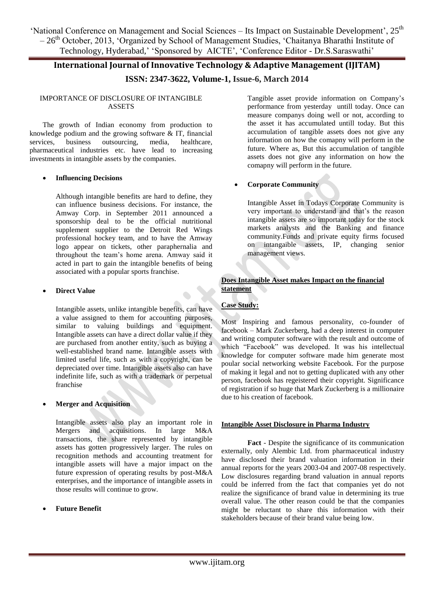'National Conference on Management and Social Sciences – Its Impact on Sustainable Development', 25<sup>th</sup>  $-26<sup>th</sup>$  October, 2013, 'Organized by School of Management Studies, 'Chaitanya Bharathi Institute of Technology, Hyderabad,' 'Sponsored by AICTE', 'Conference Editor - Dr.S. Saraswathi'

### **International Journal of Innovative Technology & Adaptive Management (IJITAM) ISSN: 2347-3622, Volume-1, Issue-6, March 2014**

### IMPORTANCE OF DISCLOSURE OF INTANGIBLE ASSETS

The growth of Indian economy from production to knowledge podium and the growing software  $\&$  IT, financial services, business outsourcing, media, healthcare, pharmaceutical industries etc. have lead to increasing investments in intangible assets by the companies.

### **Influencing Decisions**

Although intangible benefits are hard to define, they can influence business decisions. For instance, the Amway Corp. in September 2011 announced a sponsorship deal to be the official nutritional supplement supplier to the Detroit Red Wings professional hockey team, and to have the Amway logo appear on tickets, other paraphernalia and throughout the team's home arena. Amway said it acted in part to gain the intangible benefits of being associated with a popular sports franchise.

### **Direct Value**

Intangible assets, unlike intangible benefits, can have a value assigned to them for accounting purposes, similar to valuing buildings and equipment. Intangible assets can have a direct dollar value if they are purchased from another entity, such as buying a well-established brand name. Intangible assets with limited useful life, such as with a copyright, can be depreciated over time. Intangible assets also can have indefinite life, such as with a trademark or perpetual franchise

### **Merger and Acquisition**

Intangible assets also play an important role in Mergers and acquisitions. In large M&A transactions, the share represented by intangible assets has gotten progressively larger. The rules on recognition methods and accounting treatment for intangible assets will have a major impact on the future expression of operating results by post-M&A enterprises, and the importance of intangible assets in those results will continue to grow.

### **Future Benefit**

Tangible asset provide information on Company's performance from yesterday untill today. Once can measure companys doing well or not, according to the asset it has accumulated untill today. But this accumulation of tangible assets does not give any information on how the comapny will perform in the future. Where as, But this accumulation of tangible assets does not give any information on how the comapny will perform in the future.

### **Corporate Community**

Intangible Asset in Todays Corporate Community is very important to understand and that's the reason intangible assets are so important today for the stock markets analysts and the Banking and finance community.Funds and private equity firms focused on intangaible assets, IP, changing senior management views.

### **Does Intangible Asset makes Impact on the financial statement**

### **Case Study:**

Most Inspiring and famous personality, co-founder of facebook – Mark Zuckerberg, had a deep interest in computer and writing computer software with the result and outcome of which "Facebook" was developed. It was his intellectual knowledge for computer software made him generate most poular social networking website Facebook. For the purpose of making it legal and not to getting duplicated with any other person, facebook has regeistered their copyright. Significance of registration if so huge that Mark Zuckerberg is a millionaire due to his creation of facebook.

### **Intangible Asset Disclosure in Pharma Industry**

**Fact** - Despite the significance of its communication externally, only Alembic Ltd. from pharmaceutical industry have disclosed their brand valuation information in their annual reports for the years 2003-04 and 2007-08 respectively. Low disclosures regarding brand valuation in annual reports could be inferred from the fact that companies yet do not realize the significance of brand value in determining its true overall value. The other reason could be that the companies might be reluctant to share this information with their stakeholders because of their brand value being low.